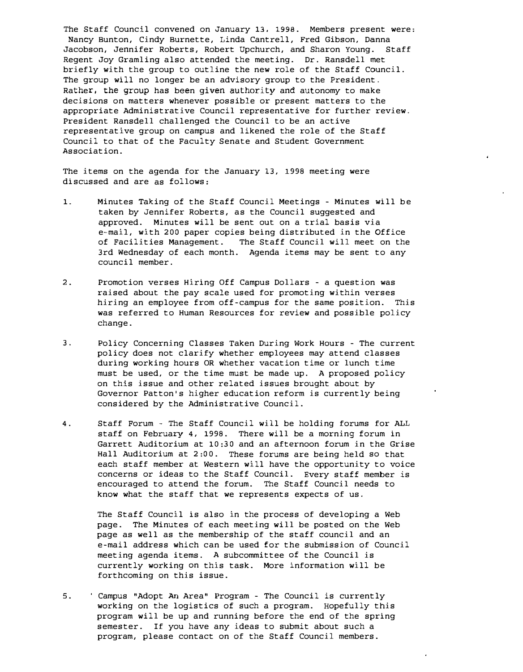The Staff Council convened on January 13. 1998. Members present were; Nancy Bunton, Cindy Burnette, Linda Cantrell, Fred Gibson, Danna Jacobson, Jennifer Roberts, Robert Upchurch, and Sharon Young. Staff Regent Joy Gramling also attended the meeting. Dr. Ransdell met briefly with the group to outline the new role of the Staff Council. The group will no longer be an advisory group to the President. Rather, the group has been given authority and autonomy to make decisions on matters whenever possible or present matters to the appropriate Administrative Council representative for further review. President Ransdell challenged the Council to be an active representative group on campus and likened the role of the Staff Council to that of the Faculty Senate and Student Government Association.

The items on the agenda for the January 13, 1998 meeting were discussed and are as follows;

- 1. Minutes Taking of the Staff Council Meetings Minutes will be taken by Jennifer Roberts, as the Council suggested and approved. Minutes will be sent out on a trial basis via e-mail, with 200 paper copies being distributed in the Office of Facilities Management. The Staff Council will meet on the 3rd wednesday of each month. Agenda items may be sent to any council member.
- 2. Promotion verses Hiring Off Campus Dollars a question was raised about the pay scale used for promoting within verses hiring an employee from off-campus for the same position. This was referred to Human Resources for review and possible policy change.
- 3. Policy Concerning Classes Taken During Work Hours The current policy does not clarify whether employees may attend classes during working hours OR whether vacation time or lunch time must be used, or the time must be made up. A proposed policy on this issue and other related issues brought about by Governor Patton's higher education reform is currently being considered by the Administrative Council.
- 4. Staff Forum The Staff Council will be holding forums for ALL staff on February 4, 1998. There will be a morning forum in Garrett Auditorium at 10:30 and an afternoon forum in the Grise Hall Auditorium at 2:00. These forums are being held so that each staff member at Western will have the opportunity to voice concerns or ideas to the Staff Council. Every staff member is encouraged to attend the forum. The Staff Council needs to know what the staff that we represents expects of us.

The Staff Council is also in the process of developing a Web page. The Minutes of each meeting will be posted on the Web page as well as the membership of the staff council and an e-mail address which can be used for the submission of Council meeting agenda items. A subcommittee of the Council is currently working on this task. More information will be forthcoming on this issue.

5. Campus "Adopt An Area" Program - The Council is currently working on the logistics of such a program. Hopefully this program will be up and running before the end of the spring semester. If you have any ideas to submit about such a program, please contact on of the Staff Council members.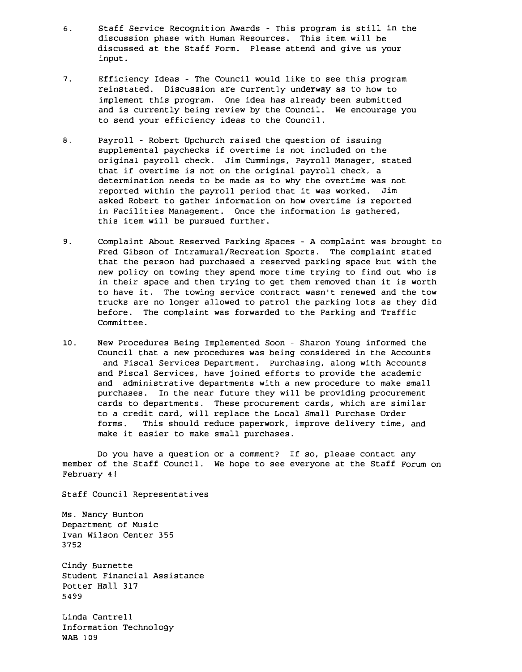- 6. Staff Service Recognition Awards This program is still in the discussion phase with Human Resources. This item will be discussed at the Staff Form. Please attend and give us your input.
- 7. Efficiency Ideas The Council would like to see this program reinstated. Discussion are currently underway as to how to implement this program. One idea has already been submitted and is currently being review by the Council. We encourage you to send your efficiency ideas to the Council.
- 8. Payroll Robert Upchurch raised the question of issuing supplemental paychecks if overtime is not included on the original payroll check. Jim Cummings, payroll Manager, stated that if overtime is not on the original payroll check, a determination needs to be made as to why the overtime was not reported within the payroll period that it was worked. Jim asked Robert to gather information on how overtime is reported in Facilities Management. Once the information is gathered, this item will be pursued further.
- 9. Complaint About Reserved parking Spaces A complaint was brought to Fred Gibson of Intramural/Recreation Sports. The complaint stated that the person had purchased a reserved parking space but with the new policy on towing they spend more time trying to find out who is in their space and then trying to get them removed than it is worth to have it. The towing service contract wasn't renewed and the tow trucks are no longer allowed to patrol the parking lots as they did before. The complaint was forwarded to the Parking and Traffic Committee.
- 10. New Procedures Being Implemented Soon Sharon Young informed the Council that a new procedures was being considered in the Accounts and Fiscal Services Department. purchasing, along with Accounts and Fiscal Services, have joined efforts to provide the academic and administrative departments with a new procedure to make small purchases. In the near future they will be providing procurement cards to departments. These procurement cards, which are similar to a credit card, will replace the Local Small Purchase Order forms. This should reduce paperwork, improve delivery time, and make it easier to make small purchases.

Do you have a question or a comment? If so, please contact any member of the Staff Council. We hope to see everyone at the Staff Forum on February 4!

Staff Council Representatives

Ms. Nancy Bunton Department of Music Ivan Wilson Center 355 3752

Cindy Burnette Student Financial Assistance Potter Hall 317 5499

Linda Cantrell Information Technology WAB 109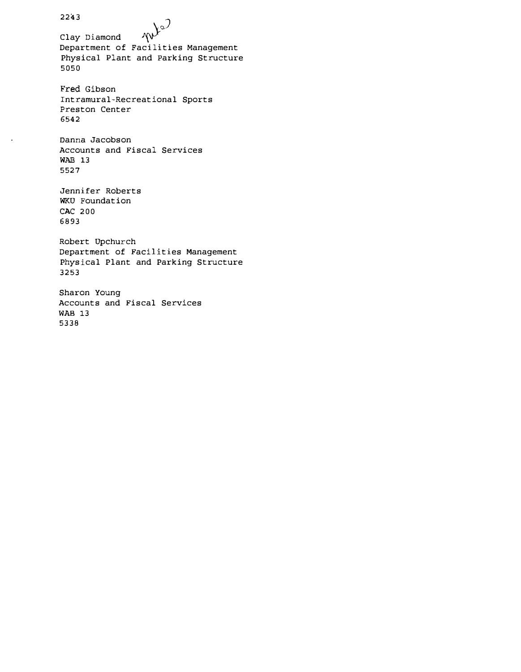2243 Clay Diamond  $\mathbb{W}^{\mathbb{R}^3}$ Department of Facilities Management Physical Plant and parking Structure 5050 Fred Gibson Intramural-Recreational Sports Preston Center 6542 Danna Jacobson Accounts and Fiscal Services WAB 13 5527 Jennifer Roberts WKU Foundation CAC 200 6893 Robert Upchurch Department of Facilities Management Physical Plant and Parking Structure 3253 Sharon Young Accounts and Fiscal Services WAB 13 5338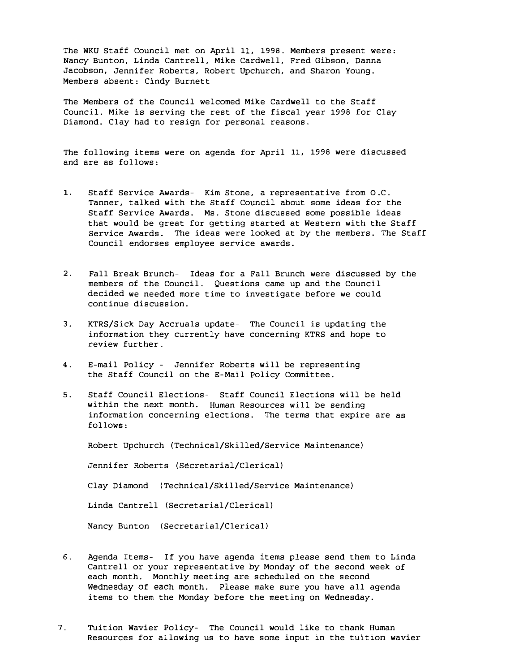The WKU Staff Council met on April 11, 1998. Members present were: Nancy Bunton, Linda Cantrell, Mike Cardwell, Fred Gibson, Danna Jacobson, Jennifer Roberts, Robert Upchurch, and Sharon Young. Members absent: Cindy Burnett

The Members of the Council welcomed Mike Cardwell to the Staff Council. Mike is serving the rest of the fiscal year 1998 for Clay Diamond. Clay had to resign for personal reasons.

The following items were on agenda for April 11, 1998 were discussed and are as follows:

- 1. Staff Service Awards- Kim Stone, a representative from D.C. Tanner, talked with the Staff Council about some ideas for the Staff Service Awards. Ms. Stone discussed some possible ideas that would be great for getting started at Western with the Staff Service Awards. The ideas were looked at by the members. The Staff Council endorses employee service awards.
- 2. Fall Break Brunch- Ideas for a Fall Brunch were discussed by the members of the Council. Questions came up and the Council decided we needed more time to investigate before we could continue discussion.
- 3. KTRS/Sick Day Accruals update-The Council is updating the information they currently have concerning KTRS and hope to review further.
- 4. E-mail Policy Jennifer Roberts will be representing the Staff Council on the E-Mail policy Committee.
- 5. Staff Council Elections- Staff Council Elections will be held within the next month. Human Resources will be sending information concerning elections. The terms that expire are as follOWS:

Robert Upchurch (Technical/Skilled/Service Maintenance)

Jennifer Roberts (Secretarial/Clerical)

Clay Diamond (Technical/Skilled/Service Maintenance)

Linda Cantrell (Secretarial/Clerical)

Nancy Bunton (secretarial/Clerical)

- 6. Agenda Items- If you have agenda items please send them to Linda Cantrell or your representative by Monday of the second week of each month. Monthly meeting are scheduled on the second Wednesday of each month. Please make sure you have all agenda items to them the Monday before the meeting on Wednesday.
- 7. Tuition Wavier policy- The Council would like to thank HUman Resources for allowing us to have some input in the tuition wavier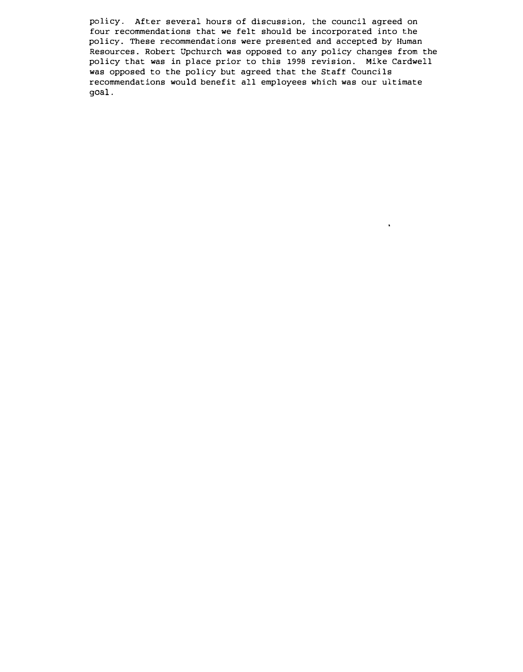policy. After several hours of discussion, the council agreed on four recommendations that we felt should be incorporated into the policy. These recommendations were presented and accepted by Human Resources. Robert Upchurch was opposed to any policy changes from the policy that was in place prior to this 1998 revision. Mike Cardwell was opposed to the policy but agreed that the Staff Councils recommendations would benefit all employees which was our ultimate goal.

 $\blacksquare$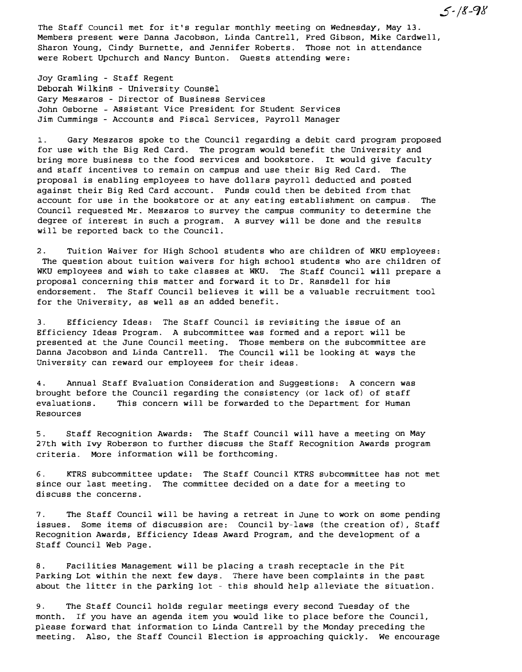The Staff Council met for it's regular monthly meeting on wednesday, May 13. Members present were Danna Jacobson, Linda Cantrell, Fred Gibson, Mike Cardwell, Sharon Young, Cindy Burnette, and Jennifer Roberts. Those not in attendance were Robert Upchurch and Nancy Bunton. Guests attending were:

Joy Gramling - Staff Regent Deborah Wilkins - University Counsel Gary Meszaros - Director of Business Services John Osborne Assistant Vice President for Student Services Jim Cummings - Accounts and Fiscal Services, Payroll Manager

I. Gary Meszaros spoke to the Council regarding a debit card program proposed for use with the Big Red Card. The program would benefit the University and bring more business to the food services and bookstore. It would give faculty and staff incentives to remain on campus and use their Big Red Card. The proposal is enabling employees to have dollars payroll deducted and posted against their Big Red Card account. Funds could then be debited from that account for use in the bookstore or at any eating establishment on campus. The Council requested Mr. Meszaros to survey the campus community to determine the degree of interest in such a program. A survey will be done and the results will be reported back to the Council.

2. Tuition Waiver for High School students who are children of WKU employees: The question about tuition waivers for high school students who are children of WKU employees and wish to take classes at WKU. The Staff Council will prepare a proposal concerning this matter and forward it to Dr. Ransdell for his endorsement. The Staff Council believes it will be a valuable recruitment tool for the university, as well as an added benefit.

3. Efficiency Ideas: The Staff Council is revisiting the issue of an Efficiency Ideas Program. A subcommittee was formed and a report will be presented at the June Council meeting. Those members on the subcommittee are Danna Jacobson and Linda Cantrell. The Council will be looking at ways the University can reward our employees for their ideas.

4. Annual Staff Evaluation Consideration and Suggestions: A concern was brought before the Council regarding the consistency {or lack of} of staff evaluations. This concern will be forwarded to the Department for Human Resources

5. Staff Recognition Awards: The Staff Council will have a meeting on May 27th with Ivy Roberson to further discuss the Staff Recognition Awards program criteria. More information will be forthcoming.

6. KTRS subcommittee update: The Staff Council KTRS subcommittee has not met since our last meeting. The committee decided on a date for a meeting to discuss the concerns.

7. The Staff Council will be having a retreat in June to work on some pending issues. Some items of discussion are: Council by-laws (the creation of}, Staff Recognition Awards, Efficiency Ideas Award Program, and the development of a Staff Council Web Page.

8. Facilities Management will be placing a trash receptacle in the pit Parking Lot within the next few days. There have been complaints in the past about the litter in the parking lot - this should help alleviate the situation.

9. The Staff Council holds regular meetings every second Tuesday of the month. If you have an agenda item you would like to place before the Council, please forward that information to Linda Cantrell by the Monday preceding the meeting. Also, the Staff Council Election is approaching quickly. We encourage

 $5 - 18 - 98$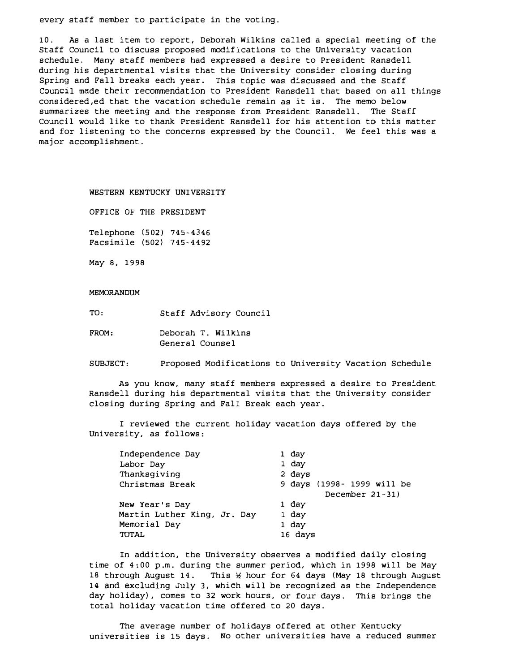every staff member to participate in the voting.

10. As a last item to report, Deborah wilkins called a special meeting of the Staff Council to discuss proposed modifications to the University vacation schedule. Many staff members had expressed a desire to President Ransdell during his departmental visits that the University consider closing during Spring and Fall breaks each year. This topic was discussed and the Staff Council made their recommendation to President Ransdell that based on all things considered,ed that the vacation schedule remain as it is. The memo below summarizes the meeting and the response from President Ransdell. The Staff Council would like to thank President Ransdell for his attention to this matter and for listening to the concerns expressed by the Council. We feel this was a major accomplishment.

WESTERN KENTUCKY UNIVERSITY

OFFICE OF THE PRESIDENT

Telephone (502) 745-4346 Facsimile (502) 745-4492

May 8, 1998

MEMORANDUM

TO, Staff Advisory Council

FROM: Deborah T. Wilkins General Counsel

SUBJECT: Proposed Modifications to University Vacation Schedule

AS you know, many staff members expressed a desire to President Ransdell during his departmental visits that the University consider closing during Spring and Fall Break each year.

I reviewed the current holiday vacation days offered by the University, as follows:

| Independence Day            | 1 day                      |
|-----------------------------|----------------------------|
| Labor Day                   | 1 day                      |
| Thanksgiving                | 2 days                     |
| Christmas Break             | 9 days (1998- 1999 will be |
|                             | December $21 - 31$ )       |
| New Year's Day              | 1 day                      |
| Martin Luther King, Jr. Day | 1 day                      |
| Memorial Day                | 1 day                      |
| TOTAL                       | 16 days                    |

In addition, the University observes a modified daily closing time of 4:00 p.m. during the summer period, which in 1998 will be May 18 through August 14. This � hour for 64 days (May 18 through August 14 and excluding July 3, which will be recognized as the Independence day holiday), comes to 32 work hours, or four days. This brings the total holiday vacation time offered to 20 days.

The average number of holidays offered at other Kentucky universities is 15 days. No other universities have a reduced summer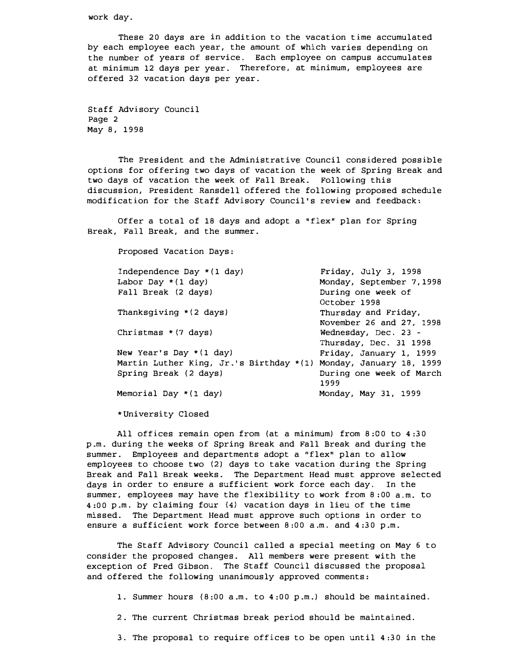work day.

These 20 days are in addition to the vacation time accumulated by each employee each year, the amount of which varies depending on the number of years of service. Each employee on campus accumulates at minimum 12 days per year. Therefore, at minimum, employees are offered 32 vacation days per year.

Staff Advisory Council Page 2 May 8, 1998

The President and the Administrative Council considered possible options for offering two days of vacation the week of Spring Break and two days of vacation the week of Fall Break. Following this discussion, President Ransdell offered the following proposed schedule modification for the Staff Advisory Council's review and feedback:

Offer a total of 18 days and adopt a "flex" plan for Spring Break, Fall Break, and the summer.

Proposed Vacation Days:

| Independence Day * (1 day)                                       | Friday, July 3, 1998     |
|------------------------------------------------------------------|--------------------------|
| Labor Day $*(1 \text{ day})$                                     | Monday, September 7,1998 |
| Fall Break (2 days)                                              | During one week of       |
|                                                                  | October 1998             |
| Thanksgiving * (2 days)                                          | Thursday and Friday,     |
|                                                                  | November 26 and 27, 1998 |
| Christmas $*(7 \text{ days})$                                    | Wednesday, Dec. 23 -     |
|                                                                  | Thursday, Dec. 31 1998   |
| New Year's Day $*(1 \text{ day})$                                | Friday, January 1, 1999  |
| Martin Luther King, Jr.'s Birthday *(1) Monday, January 18, 1999 |                          |
| Spring Break (2 days)                                            | During one week of March |
|                                                                  | 1999                     |
| Memorial Day *(1 day)                                            | Monday, May 31, 1999     |
|                                                                  |                          |

\*University Closed

All offices remain open from (at a minimum) from 8:00 to 4:30 p.m. during the weeks of Spring Break and Fall Break and during the summer. Employees and departments adopt a "flex" plan to allow employees to choose two (2) days to take vacation during the Spring Break and Fall Break weeks. The Department Head must approve selected days in order to ensure a sufficient work force each day. In the summer, employees may have the flexibility to work from 8:00 a.m. to 4:00 p.m. by claiming four (4) vacation days in lieu of the time missed. The Department Head must approve such options in order to ensure a sufficient work force between 8:00 a.m. and 4:30 p.m.

The Staff Advisory Council called a special meeting on May 6 to consider the proposed changes. All members were present with the exception of Fred Gibson. The Staff Council discussed the proposal and offered the following unanimously approved comments:

1. Summer hours (8:00 a.m. to 4:00 p.m.) should be maintained.

2. The current Christmas break period should be maintained.

3. The proposal to require offices to be open until 4:30 in the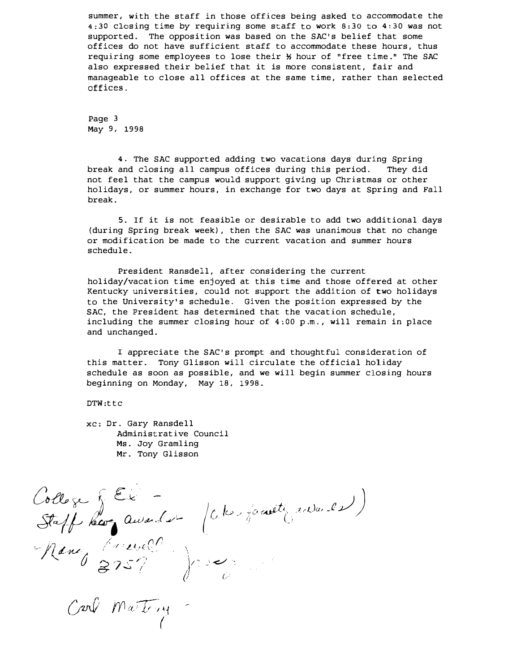summer, with the staff in those offices being asked to accommodate the 4;30 closing time by requiring some staff to work 8:30 to 4:30 was not supported. The opposition was based on the SAC's belief that some offices do not have sufficient staff to accommodate these hours, thus requiring some employees to lose their � hour of "free time." The SAC also expressed their belief that it is more consistent, fair and manageable to close all offices at the same time, rather than selected offices.

Page 3 May 9, 1998

4. The SAC supported adding two vacations days during Spring break and closing all campus offices during this period. They did not feel that the campus would support giving up Christmas or other holidays, or summer hours, in exchange for two days at spring and Fall break.

5. If it is not feasible or desirable to add two additional days (during Spring break week), then the SAC was unanimous that no change or modification be made to the current vacation and summer hours schedule.

President Ransdell, after considering the current holiday/vacation time enjoyed at this time and those offered at other Kentucky universities, could not support the addition of two holidays to the University's schedule. Given the position expressed by the SAC, the President has determined that the vacation schedule, including the summer closing hour of 4:00 p.m., will remain in place and unchanged.

I appreciate the SAC's prompt and thoughtful consideration of this matter. Tony Glisson will circulate the official holiday schedule as soon as possible, and we will begin summer closing hours beginning on Monday, May 18, 1998.

DTW:ttc

xc: Dr. Gary Ransdell Administrative Council Ms. Joy Gramling Mr. Tony Glisson

College & Ek ollege & CE - (che jouette auduse) Nancy Crevel  $3757$  and  $\int_0^\infty$ (..-

 $C$ and Martiney  $\big($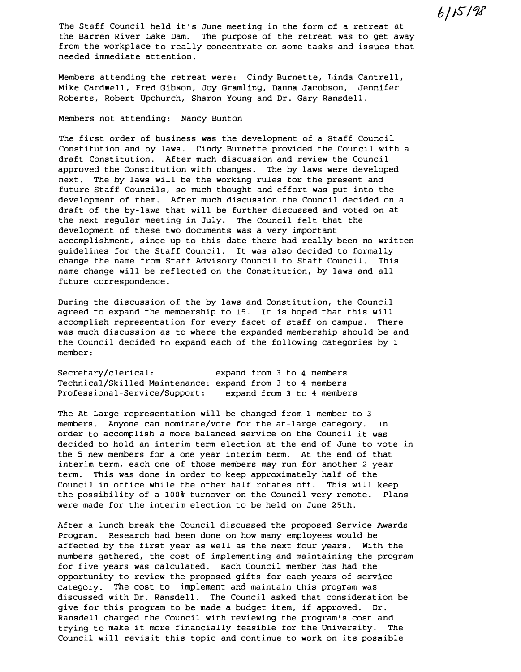$6/15/98$ 

The Staff Council held it's June meeting in the form of a retreat at the Barren River Lake Dam. The purpose of the retreat was to get away from the workplace to really concentrate on some tasks and issues that needed immediate attention.

Members attending the retreat were: Cindy Burnette, Linda Cantrell, Mike Cardwell, Fred Gibson, JOy Gramling, Danna Jacobson, Jennifer Roberts, Robert Upchurch, Sharon Young and Dr. Gary Ransdell.

# Members not attending: Nancy Bunton

The first order of business was the development of a Staff Council Constitution and by laws. Cindy Burnette provided the Council with a draft Constitution. After much discussion and review the Council approved the Constitution with changes. The by laws were developed next. The by laws will be the working rules for the present and future Staff Councils, so much thought and effort was put into the development of them. After much discussion the Council decided on a draft of the by-laws that will be further discussed and voted on at the next regular meeting in July. The Council felt that the development of these two documents was a very important accomplishment, since up to this date there had really been no written guidelines for the Staff Council. It was also decided to formally change the name from Staff Advisory Council to Staff Council. This name change will be reflected on the Constitution, by laws and all future correspondence.

During the discussion of the by laws and Constitution, the Council agreed to expand the membership to 15. It is hoped that this will accomplish representation for every facet of staff on campus. There was much discussion as to where the expanded membership should be and the Council decided to expand each of the following categories by 1 member:

Secretary/clerical: Technical/Skilled Maintenance: expand from 3 to 4 members Professional-Service/Support: expand from 3 to 4 members expand from 3 to 4 members

The At-Large representation will be changed from 1 member to 3 members. Anyone can nominate/vote for the at-large category. In order to accomplish a more balanced service on the Council it was decided to hold an interim term election at the end of June to vote in the 5 new members for a one year interim term. At the end of that interim term, each one of those members may run for another 2 year term. This was done in order to keep approximately half of the Council in office while the other half rotates off. This will keep the possibility of a 100% turnover on the Council very remote. Plans were made for the interim election to be held on June 25th.

After a lunch break the Council discussed the proposed Service Awards Program. Research had been done on how many employees would be affected by the first year as well as the next four years. With the numbers gathered, the cost of implementing and maintaining the program for five years was calculated. Each Council member has had the opportunity to review the proposed gifts for each years of service category. The cost to implement and maintain this program was discussed with Dr. Ransdell. The Council asked that consideration be give for this program to be made a budget item, if approved. Dr. Ransdell charged the Council with reviewing the program's cost and trying to make it more financially feasible for the University. The Council will revisit this topic and continue to work on its possible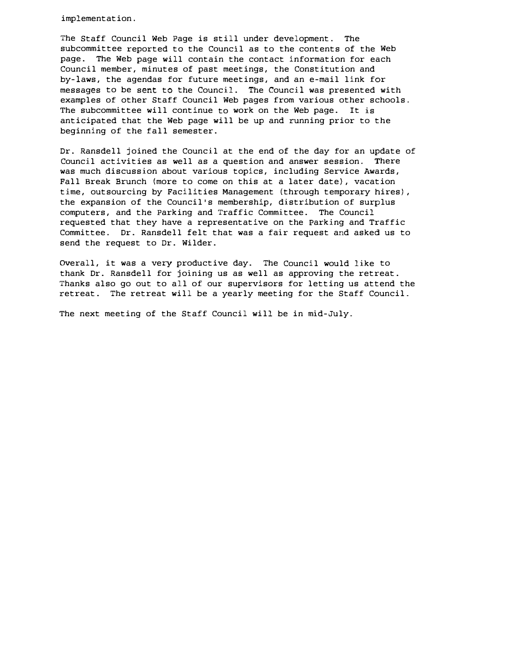implementation.

The Staff Council Web Page is still under development. The subcommittee reported to the Council as to the contents of the Web page. The Web page will contain the contact information for each Council member, minutes of past meetings, the Constitution and by-laws, the agendas for future meetings, and an e-mail link for messages to be sent to the Council. The Council was presented with examples of other Staff Council Web pages from various other schools. The subcommittee will continue to work on the Web page. It is anticipated that the Web page will be up and running prior to the beginning of the fall semester.

Dr. Ransdell joined the Council at the end of the day for an update of Council activities as well as a question and answer session. There was much discussion about various topics, including Service Awards, Fall Break Brunch (more to come on this at a later date), vacation time, outsourcing by Facilities Management (through temporary hires) , the expansion of the Council's membership, distribution of surplus computers, and the Parking and Traffic Committee. The Council requested that they have a representative on the parking and Traffic Committee. Dr. Ransdell felt that was a fair request and asked us to send the request to Dr. Wilder.

OVerall, it was a very productive day. The Council would like to thank Dr. Ransdell for joining us as well as approving the retreat. Thanks also go out to all of our supervisors for letting us attend the retreat. The retreat will be a yearly meeting for the Staff Council.

The next meeting of the Staff Council will be in mid-July.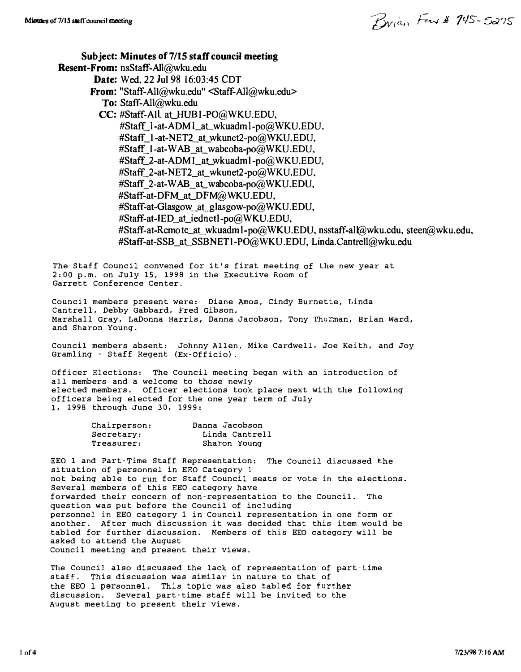Minutes of 7/15 staff council meeting  $\mathcal{B}_{\mathcal{W}/\alpha}$ ,  $\mathcal{F}_{\alpha\beta}$   $\mathcal{F}_{\alpha\beta}$  /45 - 5275

Sub ject: Minutes of 7/15 staff council meeting Resent-From: nsStaff-AlI@wku.edu Date: Wed. 22 Jul 98 16:03:45 CDT From: "Staff-AlI@wku.edu" <Staff-AlI@wku.edu> To: Staff-All@wku.edu CC: #Staff-All\_at\_HUB1-PO@WKU.EDU. #Staff\_1-at-ADM1\_at\_wkuadm1-po@WKU.EDU, #Staff\_1-at-NET2\_at\_wkunet2-po@WKU.EDU. #Staff\_1-at-WAB\_at\_wabcoba-po@WKU.EDU. #Staff\_2-at-ADM1\_at\_wkuadml-po@WKU.EDU, #Staff\_2-at-NET2\_at\_wkunet2-po@WKU.EDU, #Staff\_2-at-WAB\_at\_wabcoba-po@WKU.EDU. #Staff-at-DFM\_at\_DFM@WKU.EDU. #Staff-at-Glasgow\_at\_glasgow-po@WKU.EDU, #Staff-at-IED\_at\_iednctl-po@WKU.EDU, #Staff-at-Remote\_at\_wkuadm l-po@WKU.EDU, nsstaff-all@wku.cdu, steen@wku.edu, #Staff-at-SSB\_at\_SSBNET1-PO@WKU.EDU. Linda.Cantrell@wku.edu The Staff Council convened for it's first meeting of the new year at 2:00 p.m. on July 15, 1998 in the Executive Room of Garrett Conference Center. Council members present were: Diane Amos, Cindy BUrnette, Linda Cantrell, Debby Gabbard, Fred Gibson, Marshall Gray, LaDonna Harris, Danna Jacobson, Tony Thurman, Brian Ward, and Sharon Young. Council members absent: Johnny Allen, Mike Cardwell, Joe Keith, and Joy Gramling - Staff Regent (Ex-Officio) . officer Elections: The Council meeting began with an introduction of all members and a welcome to those newly elected members. Officer elections took place next with the following officers being elected for the one year term of July 1, 1998 through June 30, 1999: Chairperson: Secretary: Treasurer: Danna Jacobson Linda Cantrell Sharon Young EEO 1 and Part-Time Staff Representation: The Council discussed the situation of personnel in EEO Category 1 not being able to run for Staff Council seats or vote in the elections. Several members of this EEO category have forwarded their concern of non-representation to the Council. The question was put before the Council of including personnel in EEO category 1 in Council representation in one form or another. After much discussion it was decided that this item would be tabled for further discussion. Members of this EEO category will be asked to attend the August Council meeting and present their views. The Council also discussed the lack of representation of part-time staff. This discussion was similar in nature to that of the EEO 1 personnel. This topic was also tabled for further discussion. Several part-time staff will be invited to the August meeting to present their views.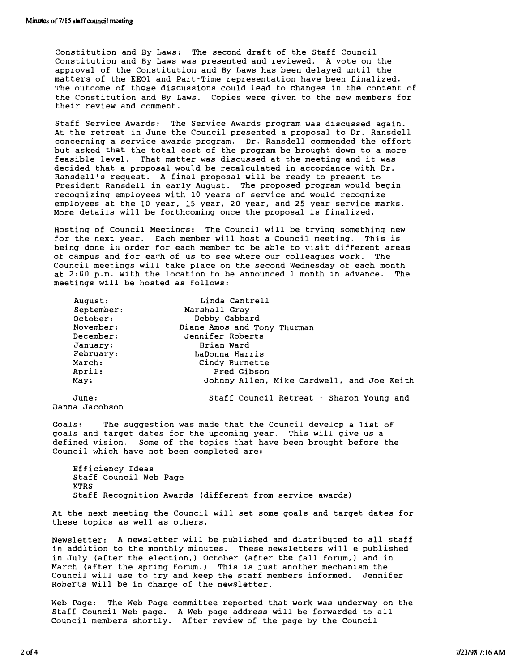Constitution and By Laws: The second draft of the Staff Council Constitution and By Laws was presented and reviewed. A vote on the approval of the Constitution and By Laws has been delayed until the matters of the EEOl and Part-Time representation have been finalized\_ The outcome of those discussions could lead to changes in the content of the Constitution and By Laws. Copies were given to the new members for their review and comment.

Staff Service Awards: The Service Awards program was discussed again. At the retreat in June the Council presented a proposal to Dr. Ransdell concerning a service awards program. Dr. Ransdell commended the effort but asked that the total cost of the program be brought down to a more feasible level. That matter was discussed at the meeting and it was decided that a proposal would be recalculated in accordance with Dr. Ransdell's request. A final proposal will be ready to present to President Ransdell in early August. The proposed program would begin recognizing employees with 10 years of service and would recognize employees at the 10 year, 15 year, 20 year, and 25 year service marks. More details will be forthcoming once the proposal is finalized.

Hosting of Council Meetings: The Council will be trying something new for the next year. Each member will host a Council meeting. This is being done in order for each member to be able to visit different areas of campus and for each of us to see where our colleagues work. The Council meetings will take place on the second Wednesday of each month at 2:00 p.m. with the location to be announced I month in advance. The meetings will be hosted as follows:

| August:    | Linda Cantrell                             |
|------------|--------------------------------------------|
| September: | Marshall Gray                              |
| October:   | Debby Gabbard                              |
| November:  | Diane Amos and Tony Thurman                |
| December:  | Jennifer Roberts                           |
| January:   | Brian Ward                                 |
| February:  | LaDonna Harris                             |
| March:     | Cindy Burnette                             |
| April:     | Fred Gibson                                |
| May:       | Johnny Allen, Mike Cardwell, and Joe Keith |
| June:      | Staff Council Retreat - Sharon Young and   |

Danna Jacobson

Goals: The suggestion was made that the council develop a list of goals and target dates for the upcoming year. This will give us a defined vision. Some of the topics that have been brought before the Council which have not been completed are:

Efficiency Ideas Staff council Web Page KTRS Staff Recognition Awards (different from service awards)

At the next meeting the Council will set some goals and target dates for these topics as well as others.

Newsletter: A newsletter will be published and distributed to all staff in addition to the monthly minutes. These newsletters will e published in July (after the election,) October (after the fall forum,) and in March (after the spring forum.) This is just another mechanism the Council will use to try and keep the staff members informed. Jennifer Roberts will be in charge of the newsletter.

Web Page: The Web Page committee reported that work was underway on the Staff Council Web page. A Web page address will be forwarded to all Council members shortly. After review of the page by the Council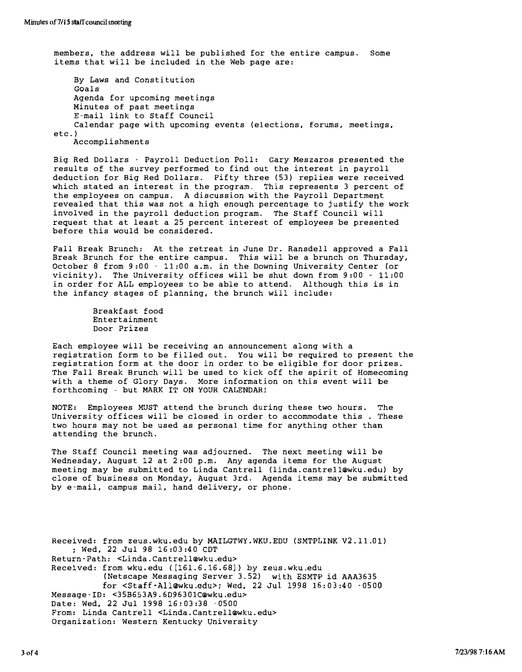members, the address will be published for the entire campus. Some items that will be included in the Web page are: By Laws and Constitution Goals Agenda for upcoming meetings Minutes of past meetings E-mail link to Staff Council Calendar page with upcoming events (elections, forums, meetings, etc. ) Accomplishments

Big Red Dollars - Payroll Deduction Poll: Gary Meszaros presented the results of the survey performed to find out the interest in payroll deduction for Big Red Dollars. Pifty three (53) replies were received which stated an interest in the program. This represents 3 percent of the employees on campus. A discussion with the Payroll Department revealed that this was not a high enough percentage to justify the work involved in the payroll deduction program. The Staff Council will request that at least a 25 percent interest of employees be presented before this would be considered.

Pall Break Brunch: At the retreat in June Dr. Ransdell approved a Fall Break Brunch for the entire campus. This will be a brunch on Thursday, October 8 from 9:00 - 11:00 a.m. in the Downing University Center (or vicinity). The University offices will be shut down from 9:00 - 11:00 in order for ALL employees to be able to attend. Although this is in the infancy stages of planning, the brunch will include:

```
Breakfast food 
Entertainment 
Door Prizes
```
Each employee will be receiving an announcement along with a registration form to be filled out. You will be required to present the registration form at the door in order to be eligible for door prizes. The Fall Break Brunch will be used to kick off the spirit of Homecoming with a theme of Glory Days. More information on this event will be forthcoming - but MARK IT ON YOUR CALENDAR!

NOTE: Employees MUST attend the brunch during these two hours. The University offices will be closed in order to accommodate this . These two hours may not be used as personal time for anything other than attending the brunch.

The Staff Council meeting was adjourned. The next meeting will be Wednesday, August 12 at 2:00 p.m. Any agenda items for the August meeting may be submitted to Linda Cantrell (linda.cantre11@Wku. edu) by close of business on Monday, August 3rd. Agenda items may be submitted bY e-mail, campus mail, hand delivery, or phone.

Received: from zeus.wku.edu by MAILGTWY.WKU.EDU (SMTPLINK V2.l1.01) ; Wed, 22 Jul 98 15:03:40 COT Return-Path: <Linda. Cantre1l@wku.edu> Received: from wku.edu ([15l.5.15.58]) by zeus.wku.edu (Netscape Messaging Server 3.52) with ESMTP id AAA3635 for <Staff-All@wku.edu>i Wed, 22 Jul 1998 15: 03:40 -0500 Message-ID: <35B553A9. 6D96301C@Wku.edu> Date: Wed, 22 Jul 1998 15:03:38 - 0500 From: Linda Cantrell <Linda.Cantrell@wku.edu> Organization: Western Kentucky University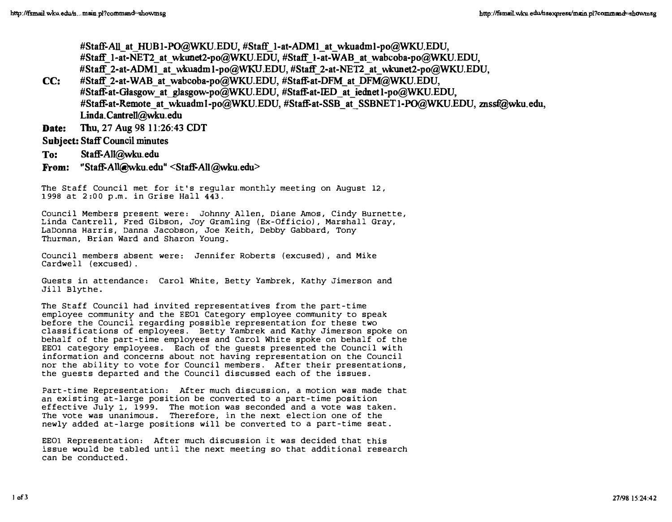#Staff-All at HUB1-PO@WKU.EDU, #Staff\_1-at-ADM1\_at\_wkuadml-po@WKU,EDU, #Staff\_1-at-NET2 at\_wkunet2-po@WKU.EDU, #Staff\_1-at-WAB\_at\_wabcoba-po@WKU.EDU, #Staff\_2-at-ADM1\_at\_wkuadm1-po@WKU.EDU, #Staff\_ 2-at-NET2\_at\_wkunet2-po@WKU.EDU, CC: #Staff\_2-at-WAB\_at\_wabcoba-po@WKU.EDU, #Staff-at-DFM\_at\_DFM@WKU.EDU,

#Staff-at-Glasgow at glasgow-po@WKU.EDU, #Staff-at-IED at iednetl-po@WKU.EDU, #Staff-at-Remote at wkuadml-po@WKU.EDU, #Staff-at-SSB at SSBNET 1-PO@WKU.EDU, znssf@wku.edu, Linda.Cantrell@Wku.edu

Date: Thu, 27 Aug 98 11:26:43 CDT

# Subject: Staff Council minutes

- To: Staff-All@Wku.edn
- From: "Staff-All@wku.edu" <Staff-All@Wku.edu>

The Staff Council met for it's regular monthly meeting on August 12, 1998 at 2:00 p.m. in Grise Hall 443.

Council Members present were: Johnny Allen, Diane Amos, Cindy Burnette, Linda Cantrell, Fred Gibson, Joy Gramling (Ex-Officio), Marshall Gray, LaDonna Harris, Danna Jacobson, Joe Keith, Debby Gabbard, Tony Thurman, Brian Ward and Sharon Young.

Council members absent were: Jennifer Roberts (excused), and Mike Cardwell (excused).

Guests in attendance: Carol White, Betty Yambrek, Kathy Jimerson and Jill Blythe.

The Staff Council had invited representatives from the part-time employee community and the EEG1 Category employee community to speak before the Council regarding possible representation for these two classifications of employees. Betty Yambrek and Kathy Jimerson spoke on behalf of the part-time employees and Carol White spoke on behalf of the EEOI category employees. Each of the guests presented the Council with information and concerns about not having representation on the Council nor the ability to vote for Council members. After their presentations, the guests departed and the Council discussed each of the issues.

Part-time Representation: After much discussion, a motion was made that an existing at-large position be converted to a part-time position effective July 1, 1999. The motion was seconded and a vote was taken. The vote was unanimous. Therefore, in the next election one of the newly added at-large positions will be converted to a part-time seat.

EEOI Representation: After much discussion it was decided that this issue would be tabled until the next meeting so that additional research can be conducted.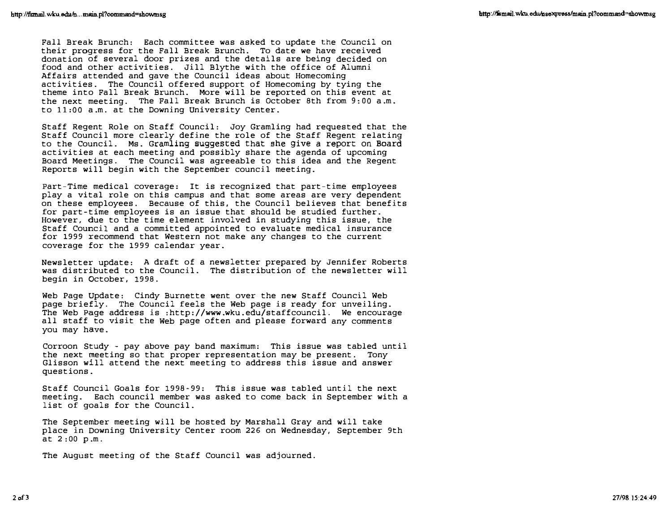Fall Break Brunch: Each committee was asked to update the Council on their progress for the Fall Break Brunch. To date we have received donation of several door prizes and the details are being decided on food and other activities. Jill Blythe with the office of Alumni Affairs attended and gave the Council ideas about Homecoming activities. The Council offered support of Homecoming by tying the theme into Fall Break Brunch. More will be reported on this event at the next meeting. The Fall Break Brunch is October 8th from 9:00 a.m. to 11:00 a.m. at the Downing university Center.

Staff Regent Role on Staff Council: Joy Gramling had requested that the Staff Council more clearly define the role of the Staff Regent relating to the Council. Ms. Gramling suggested that she give a report on Board activities at each meeting and possibly share the agenda of upcoming Board Meetings. The Council was agreeable to this idea and the Regent Reports will begin with the September council meeting.

part-Time medical coverage: It is recognized that part-time employees play a vital role on this campus and that some areas are very dependent on these employees. Because of this, the Council believes that benefits for part-time employees is an issue that should be studied further. However, due to the time element involved in studying this issue, the Staff Council and a committed appointed to evaluate medical insurance for 1999 recommend that Western not make any changes to the current coverage for the 1999 calendar year.

Newsletter update: A draft of a newsletter prepared by Jennifer Roberts was distributed to the Council. The distribution of the newsletter will begin in October, 1998.

Web Page Update: Cindy Burnette went over the new Staff Council Web page briefly. The Council feels the Web page is ready for unveiling. The Web Page address is : http: //www.wku. edu/staffcouncil. We encourage all staff to visit the Web page often and please forward any comments you may have.

Corroon Study - pay above pay band maximum: This issue was tabled until the next meeting so that proper representation may be present. Tony Glisson will attend the next meeting to address this issue and answer questions.

Staff Council Goals for 1998-99: This issue was tabled until the next meeting. Each council member was asked to come back in September with a list of goals for the Council.

The September meeting will be hosted by Marshall Gray and will take place in Downing university Center room 226 on Wednesday, September 9th at 2:00 p.m.

The August meeting of the Staff Council was adjourned.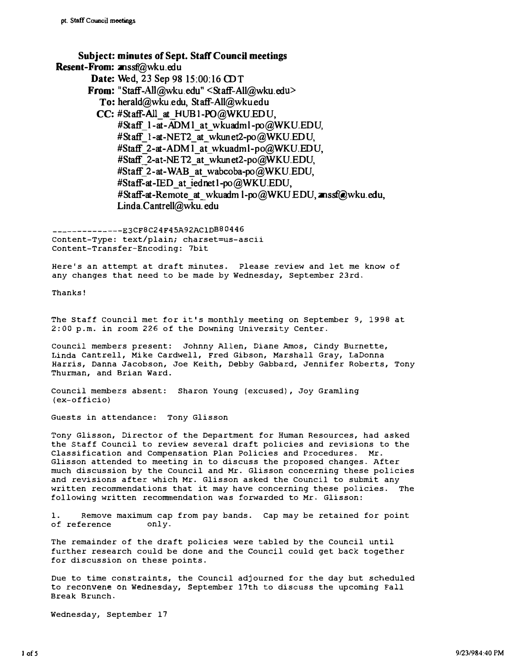Subject: minutes of Sept. Staff Council meetings Resent-From: znssf@wku.edu Date: Wed, 23 Sep 98 15:00:16 CDT From: "Staff-AIl@wku. edu" <Staff-All@wku.edu> To: herald@wku.edu, Staff-All@wku.edu CC: #Staff-All\_at\_HUBI-PO@WKU.EDU, #Staff\_1-at-ADM1\_at\_wkuadml-po@WKU. EDU, #Staff 1-at-NET2 at wkunet2-po@WKU.EDU, #Staff\_2-at-ADM1\_at\_wkuadml-po@WKU. EDU, #Staff 2-at-NET2 at wkunet2-po@WKU. EDU, #Staff 2-at-WAB at wabcoba-po@WKU.EDU, #Staff-at-IED at iednet1-po@WKU.EDU, #Staff-at-Remote at wkuadml-po@WKU.EDU, znssf@wku.edu, Linda.Cantrell@wku.edu

--------------E3CF8C24F45A92AC1DB80446 content-Type: text/plain; charset=us-ascii Content-Trans fer-Encoding: 7bit

Here's an attempt at draft minutes. Please review and let me know of any changes that need to be made by Wednesday, september 23rd.

Thanks!

The staff council met for it's monthly meeting on September 9, 1998 at 2:00 p.m. in room 226 of the Downing university Center.

council members present: Johnny Allen, Diane Amos, Cindy Burnette, Linda Cantrell, Mike Cardwell, Fred Gibson, Marshall Gray, LaDonna Harris, Danna Jacobson, Joe Keith, Debby Gabbard, Jennifer Roberts, Tony Thurman, and Brian Ward.

Council members absent: Sharon Young (excused), Joy Gramling (ex-officio)

Guests in attendance: Tony Glisson

Tony Glisson, Director of the Department for Human Resources, had asked the Staff Council to review several draft policies and revisions to the Classification and Compensation Plan Policies and Procedures. Mr. Glisson attended to meeting in to discuss the proposed changes. After much discussion by the Council and Mr. Glisson concerning these policies and revisions after which Mr. Glisson asked the Council to submit any written recommendations that it may have concerning these policies. The following written recommendation was forwarded to Mr. Glisson:

1. Remove maximum cap from pay bands. Cap may be retained for point of reference only.

The remainder of the draft policies were tabled by the Council until further research could be done and the Council could get back together for discussion on these points.

Due to time constraints, the Council adjourned for the day but scheduled to reconVene on Wednesday, September 17th to discuss the upcoming Fall Break Brunch.

Wednesday, september 17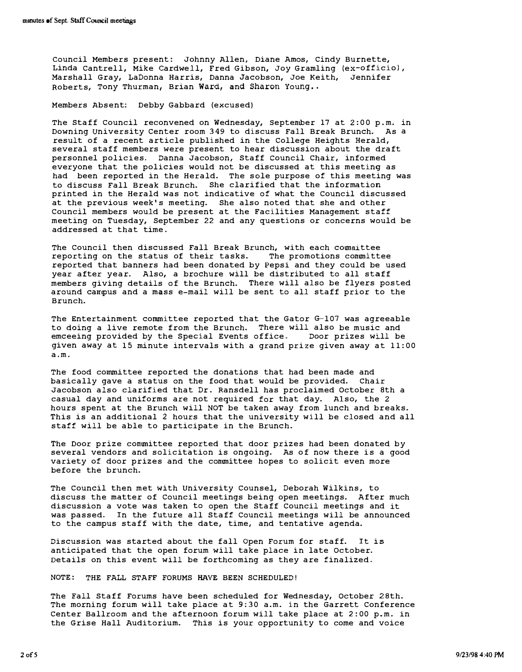Council Members present: Johnny Allen, Diane Amos, Cindy Burnette, Linda Cantrell, Mike Cardwell, Fred Gibson, Joy Gramling (ex-officio), Marshall Gray, LaDonna Harris, Danna Jacobson, Joe Keith, Jennifer Roberts, Tony Thurman, Brian Ward, and Sharon Young..

Members Absent: Debby Gabbard (excused)

The Staff Council reconvened on Wednesday, September 17 at 2:00 p.m. in Downing university Center room 349 to discuss Fall Break Brunch. As a result of a recent article published in the College Heights Herald, several staff members were present to hear discussion about the draft personnel policies. Danna Jacobson, Staff council Chair, informed everyone that the policies would not be discussed at this meeting as had been reported in the Herald. The sole purpose of this meeting was to discuss Fall Break Brunch. She clarified that the information printed in the Herald was not indicative of what the Council discussed at the previous week's meeting. She also noted that she and other Council members would be present at the Facilities Management staff meeting on Tuesday, September 22 and any questions or concerns would be addressed at that time .

The Council then discussed Fall Break Brunch, with each committee reporting on the status of their tasks. The promotions committee reported that banners had been donated by Pepsi and they could be used year after year. Also, a brochure will be distributed to all staff members giving details of the Brunch. There will also be flyers posted around campus and a mass e-mail will be sent to all staff prior to the Brunch.

The Entertainment committee reported that the Gator G-I07 was agreeable to doing a live remote from the Brunch. There will also be music and<br>emceeing provided by the Special Events office. Door prizes will be emceeing provided by the Special Events office. given away at 15 minute intervals with a grand prize given away at 11:00 a.m.

The food committee reported the donations that had been made and basically gave a status on the food that would be provided. Chair Jacobson also clarified that Dr. Ransdell has proclaimed October 8th a casual day and uniforms are not required for that day. Also, the 2 hours spent at the Brunch will NOT be taken away from lunch and breaks. This is an additional 2 hours that the university will be closed and all staff will be able to participate in the Brunch.

The Door prize committee reported that door prizes had been donated by several vendors and solicitation is ongoing. As of now there is a good variety of door prizes and the committee hopes to solicit even more before the brunch.

The Council then met with University Counsel, Deborah Wilkins, to discuss the matter of Council meetings being open meetings. After much discussion a vote was taken to open the Staff Council meetings and it was passed. In the future all Staff Council meetings will be announced to the campus staff with the date, time, and tentative agenda.

Discussion was started about the fall Open Forum for staff. It is anticipated that the open forum will take place in late October. Details on this event will be forthcoming as they are finalized.

NOTE: THE FALL STAFF FORUMS HAVE BEEN SCHEDULED!

The Fall Staff Forums have been scheduled for Wednesday, October 28th. The morning forum will take place at 9:30 a.m. in the Garrett Conference Center Ballroom and the afternoon forum will take place at 2:00 p.m. in the Grise Hall Auditorium. This is your opportunity to come and voice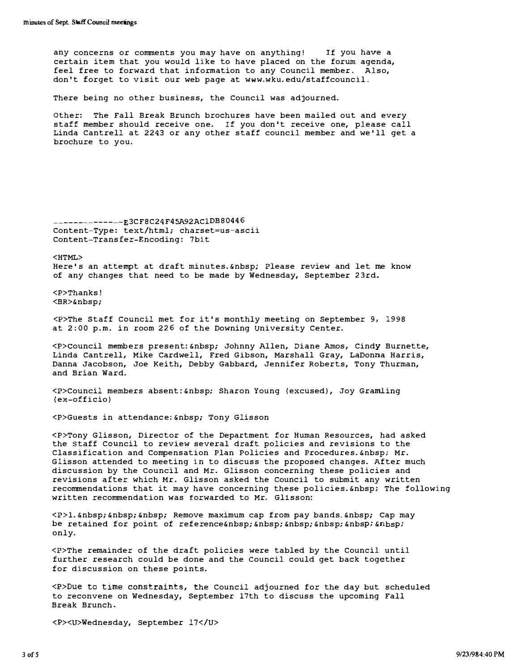any concerns or comments you may have on anything! If you have a certain item that you would like to have placed on the forum agenda, feel free to forward that information to any Council member. Also, don't forget to visit our web page at www.wku. edu/staffcouncil .

There being no other business, the Council was adjourned.

other: The Fall Break Brunch brochures have been mailed out and every staff member should receive one. If you don 't receive one, please call Linda Cantrell at 2243 or any other staff council member and we'll get a brochure to you.

--------------E3CF8C24F45A92AC1DB80446 Content-Type: text/html; charset=us-ascii Content-Transfer-Encoding : 7bit

<HTML>

Here's an attempt at draft minutes. Please review and let me know of any changes that need to be made by Wednesday, September 23rd.

<P>Thanks! <BR>&nbsp;

<P>The Staff COUncil met for it 's monthly meeting on September 9, 1998 at 2:00 p.m. in room 226 of the Downing University Center.

<P>council members present: Johnny Allen, Diane Amos, Cindy Burnette, Linda Cantrell, Mike Cardwell, Fred Gibson, Marshall Gray, LaDonna Harris, Danna Jacobson, Joe Keith, Debby Gabbard, Jennifer Roberts, Tony Thurman, and Brian Ward.

<P>Council members absent: &nbsp; Sharon Young (excused), Joy Gramling (ex-officio)

<P>Guests in attendance: &nbsp; Tony Glisson

<P>Tony Glisson, Director of the Department for Human Resources, had asked the staff COUncil to review several draft policies and revisions to the Classification and Compensation Plan Policies and Procedures. Mr. Glisson attended to meeting in to discuss the proposed changes. After much discussion by the Council and Mr. Glisson concerning these policies and revisions after which Mr. Glisson asked the Council to submit any written recommendations that it may have concerning these policies. 
anbsp; The following written recommendation was forwarded to Mr. Glisson:

<P>1. &nbsp; &nbsp; &nbsp; Remove maximum cap from pay bands. &nbsp; Cap may be retained for point of reference only.

<P>The remainder of the draft policies were tabled by the Council until further research could be done and the council could get back together for discussion on these points.

<P>Due to time constraints, the Council adjourned for the day but scheduled to reconvene on Wednesday, September 17th to discuss the upcoming Fall Break Brunch.

<P><U>Wednesday, september l7</U>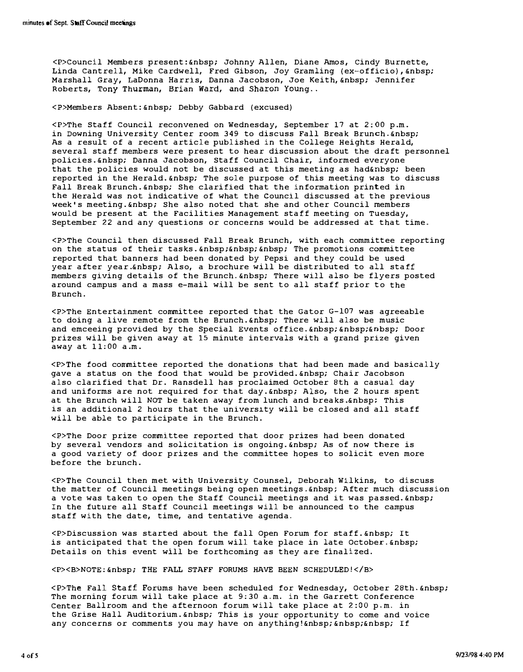<P>Council Members present:&nbsp; Johnny Allen, Diane Amos, cindy Burnette, Linda Cantrell, Mike Cardwell, Fred Gibson, Joy Gramling (ex-officio), Marshall Gray, LaDonna Harris, Danna Jacobson, Joe Keith, Jennifer Roberts, Tony Thurman, Brian Ward, and Sharon Young ..

<P>Members Absent: Debby Gabbard (excused)

<P>The Staff Council reconvened on Wednesday, september 17 at 2;00 p.m. in Downing University Center room 349 to discuss Fall Break Brunch. As a result of a recent article published in the College Heights Herald, several staff members were present to hear discussion about the draft personnel policies. Enbsp; Danna Jacobson, Staff Council Chair, informed everyone that the policies would not be discussed at this meeting as had  $k$ nbsp; been reported in the Herald. 
unbsp: The sole purpose of this meeting was to discuss Fall Break Brunch. Enbsp; She clarified that the information printed in the Herald was not indicative of what the council discussed at the previous week's meeting. Enbsp; She also noted that she and other Council members would be present at the Facilities Management staff meeting on Tuesday, september 22 and any questions or concerns would be addressed at that time.

<P>The Council then discussed Fall Break Brunch, with each committee reporting on the status of their tasks. Enbsp; Enbsp; Enbsp; The promotions committee reported that banners had been donated by Pepsi and they could be used year after year.&nhsp; Also, a brochure will be distributed to all staff members giving details of the Brunch. There will also be flyers posted around campus and a mass e-mail will be sent to all staff prior to the Brunch.

<P>The Entertainment committee reported that the Gator G-l07 was agreeable to doing a live remote from the Brunch. &nhsp; There will also be music and emceeing provided by the Special Events office. Enbsp; Enbsp; Enbsp; Door prizes will be given away at 15 minute intervals with a grand prize given away at 11:00 a.m.

<P>The food committee reported the donations that had been made and basically gave a status on the food that would be provided. Enbsp; Chair Jacobson also clarified that Dr. Ransdell has proclaimed October 8th a casual day and uniforms are not required for that day.  *Also, the 2 hours spent* at the Brunch will NOT be taken away from lunch and breaks. This is an additional 2 hours that the university will be closed and all staff will be able to participate in the Brunch.

<P>The Door prize committee reported that door prizes had been donated by several vendors and solicitation is ongoing. Enbsp; As of now there is a good variety of door prizes and the committee hopes to solicit even more before the brunch.

<P>The Council then met with University Counsel, Deborah W�lkins, to discuss the matter of Council meetings being open meetings. Enbsp; After much discussion a vote was taken to open the Staff Council meetings and it was passed. In the future all Staff Council meetings will be announced to the campus staff with the date, time, and tentative agenda.

<P>Discussion was started about the fall Open Forum for staff. It is anticipated that the open forum will take place in late October. Details on this event will be forthcoming as they are finalized.

<P><B>NOTE : &nbsp; THE FALL STAFF FORUMS HAVE BEEN SCHEDULED!</B>

<P>The Fall Staff Forums have been scheduled for Wednesday, October 28th. &nbsp; The morning forum will take place at 9:30 a.m. in the Garrett conference Center Ballroom and the afternoon forum will take place at 2:00 p.m. in the Grise Hall Auditorium. Inbsp; This is your opportunity to come and voice any concerns or comments you may have on anything! If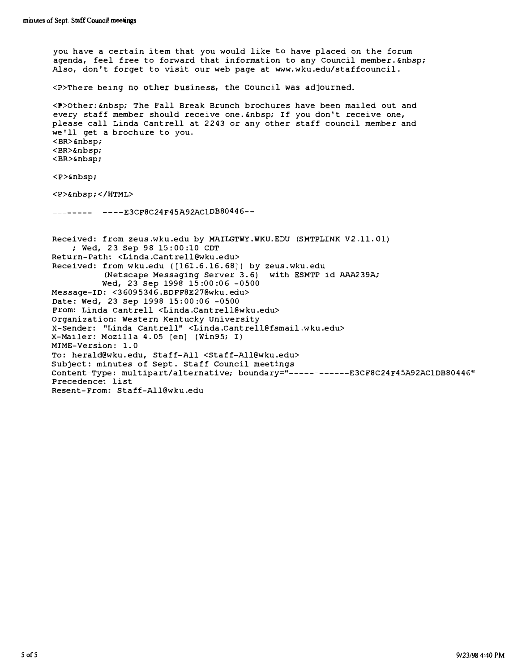you have a certain item that you would like to have placed on the forum agenda, feel free to forward that information to any Council member. Also, don 't forget to visit our web page at www. wku.edu/staffcouncil. <P>There being no other business, the Council was adjourned. <P>Other: &nbsp; The Fall Break Brunch brochures have been mailed out and every staff member should receive one. Enbsp; If you don't receive one, please call Linda cantrell at 2243 or any other staff council member and we'll get a brochure to you. <BR>&nbsp; <BR>&nbsp; <BR>&nbsp; <P>&nbsp;  $\langle P \rangle$   $\langle$ /HTML $\rangle$ --------------E3CF8C24F 45A92AC1DB80446-- Received: from zeus.wku.edu by MAILGTWY.WKU. EDU (SMTPLINK V2.11. 01) ; Wed, 23 Sep 98 15:00:10 CDT RetUrn-Path: <Linda.Cantrell @wku.edu> Received: from wku.edu ([161.6.16.68]) by zeus.wku.edu (Netscape Messaging Server 3. 6) with ESMTP id AAA2 39A; Wed, 23 Sep 1998 15:00:06 -0500 Message-ID: <36095346.BDFF8E27@wku . edu> Date: Wed, 23 Sep 1998 15: 00:06 -0500 From: Linda Cantrell <Linda.Cantrell@wku.edu> Organization: Western Kentucky University X-sender: "Linda Cantrell" <Linda.Cantrell@fsmail.wku.edu> X-Mailer: Mozilla 4.05 [en] (Win95; I) MIME-Version: 1. 0 To: herald@wku. edu, Staff-All <Staff-All@wku.edu> Subject: minutes of sept. staff Council meetings content-Type : multipart/alternative; boundary="------------E3CF8C24F45A92AC1DB80446" Precedence: list Resent-From: Staff-All@wku.edu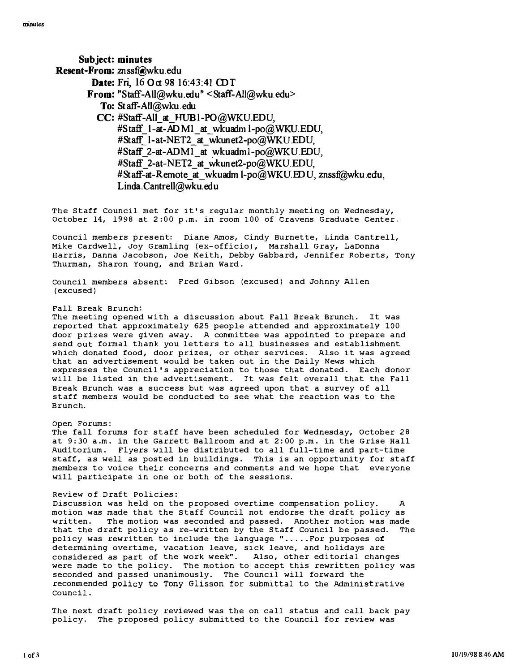Sub ject: minutes Resent-From: znssf@wku.edu Date: Fri, 16 Oct 98 16:43:41 CDT From: "S taff-AlI@wku.edu" <Staff -AlI@wku. edu> To: Staff-AlI@wku.edu CC: #Staff-All\_ at\_HUBI-PO@WKU.EDU, #Staff  $l$ -at-ADM<sub>1</sub> at wkuadml-po@WKU.EDU, #Staff\_1-at-NET2\_at\_wkunet2-po@WKUEDU, #Staff\_2-at-ADM1\_at\_wkuadml-po@WKU.EDU, #Staff 2-at-NET2 at wkunet2-po@WKU.EDU, #Staff-at-Remote at wkuadml-po@WKU.EDU, znssf@wku.edu, Linda. Cantrell@wku.edu

The Staff Council met for it's regular monthly meeting on Wednesday, october 14, 1998 at 2:00 p.m. in room 100 of Cravens Graduate center.

Council members present: Diane Amos, Cindy Burnette, Linda Cantrell, Mike Cardwell, Joy Gramling (ex-officio), Marshall Gray, LaDonna Harris, Danna Jacobson, Joe Keith, Debby Gabbard, Jennifer Roberts, Tony Thurman, Sharon Young, and Brian Ward.

council members absent: Fred Gibson (excused) and Johnny Allen (excused)

#### Fall Break Brunch:

The meeting opened with a discussion about Fall Break Brunch. It was reported that approximately 625 people attended and approximately 100 door prizes were given away. A committee was appointed to prepare and send out formal thank you letters to all businesses and establishment which donated food, door prizes, or other services. Also it was agreed that an advertisement would be taken out in the Daily News which expresses the Council 's appreciation to those that donated. Each donor will be listed in the advertisement. It was felt overall that the Fall Break Brunch was a success but was agreed upon that a survey of all staff members would be conducted to see what the reaction was to the Brunch.

#### Open Forums :

The fall forums for staff have been scheduled for Wednesday, october 28 at 9:30 a.m. in the Garrett Ballroom and at 2: 00 p.m. in the Grise Hall Auditorium. Flyers will be distributed to all full-time and part-time staff, as well as posted in buildings. This is an opportunity for staff members to voice their concerns and comments and we hope that everyone will participate in one or both of the sessions.

### Review of Draft policies:

Discussion was held on the proposed overtime compensation policy. A motion was made that the staff Council not endorse the draft policy as written. The motion was seconded and passed. Another motion was made that the draft policy as re-written by the Staff Council be passed. The policy was rewritten to include the language ".....For purposes of determining overtime, vacation leave, sick leave, and holidays are considered as part of the work week". Also, other editorial changes were made to the policy. The motion to accept this rewritten policy was seconded and passed unanimously. The Council will forward the recommended policy to Tony Glisson for submittal to the Administrative council.

The next draft policy reviewed was the on call status and call back pay policy. The proposed policy submitted to the Council for review was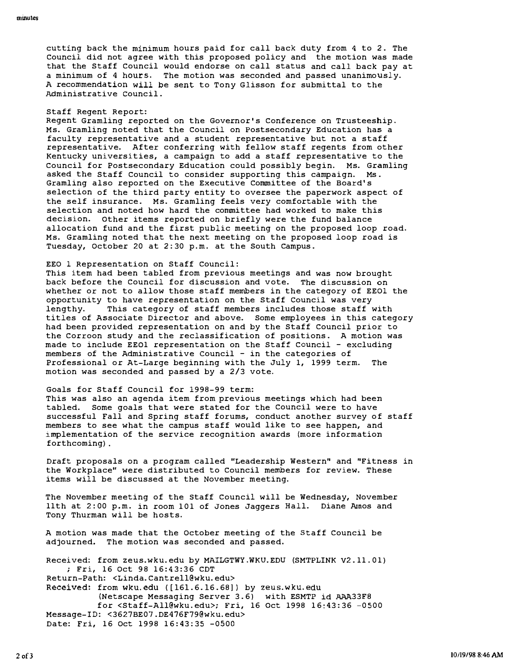cutting back the minimum hours paid for call back duty from 4 to 2. The Council did not agree with this proposed policy and the motion was made that the Staff Council would endorse on call status and call back pay at a minimum of 4 hours. The motion was seconded and passed unanimously. A recommendation will be sent to Tony Glisson for submittal to the Administrative council .

## Staff Regent Report:

Regent Gramling reported on the Governor 's Conference on Trusteeship . Ms. Gramling noted that the Council on Postsecondary Education has a faculty representative and a student representative but not a staff representative. After conferring with fellow staff regents from other Kentucky universities, a campaign to add a staff representative to the Council for Postsecondary Education could possibly begin. Ms. Gramling asked the Staff Council to consider supporting this campaign. Ms . Gramling also reported on the Executive Committee of the Board's selection of the third party entity to oversee the paperwork aspect of the self insurance. Ms. Gramling feels very comfortable with the selection and noted how hard the committee had worked to make this decision. Other items reported on briefly were the fund balance allocation fund and the first public meeting on the proposed loop road. Ms. Gramling noted that the next meeting on the proposed loop road is Tuesday, October 20 at 2:30 p.m. at the South Campus .

#### EEO I Representation on Staff Council :

This item had been tabled from previous meetings and was now brought back before the Council for discussion and vote. The discussion on whether or not to allow those staff members in the category of EEOI the opportunity to have representation on the Staff Council was very lengthy. This category of staff members includes those staff with titles of Associate Director and above. Some employees in this category had been provided representation on and by the Staff Council prior to the Corroon study and the reclassification of positions. A motion was made to include EE01 representation on the Staff COUncil - excluding members of the Administrative council - in the categories of Professional or At-Large beginning with the July 1, 1999 term. The motion was seconded and passed by a 2/3 vote.

### Goals for Staff Council for 1998-99 term:

This was also an agenda item from previous meetings which had been tabled. Some goals that were stated for the Council were to have successful Fall and Spring staff forums, conduct another survey of staff members to see what the campus staff would like to see happen, and implementation of the service recognition awards (more information forthcoming) .

Draft proposals on a program called "Leadership Western" and "Fitness in the Workplace" were distributed to Council members for review. These items will be discussed at the November meeting.

The November meeting of the staff Council will be Wednesday, November 11th at 2:00 p.m. in room 101 of Jones Jaggers Hall. Diane Amos and Tony Thurman will be hosts.

A motion was made that the October meeting of the Staff Council be adjourned. The motion was seconded and passed.

Received: from zeus.wku. edu by MAILGTWY .WKU. EDU (SMTPLINK V2 . 11 . 0 1) ; Fri, 16 Oct 98 16:43:36 CDT Return-Path: <Linda. Cantre11@wku. edu> Received: from wku. edu ([161.6.16.68]) by zeus.wku. edu (Netscape Messaging Server 3.6) with ESMTP id AAA33F8 for <Staff-All@wku . edu>; Fri, 16 Oct 1998 16:43:36 -0500 Message-ID: <3627BE07 . DE476F79@wku. edu> Date: Fri, 16 Oct 1998 16:43:35 -0500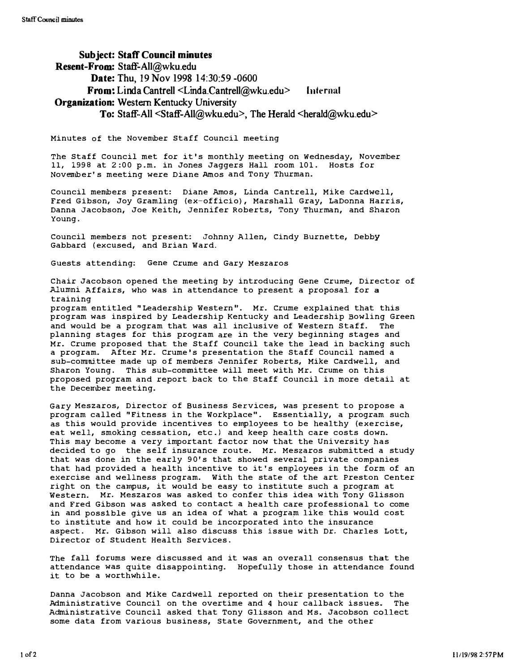# SUbject: Staff Council minutes Resent-From: Staff-All@wku.edu Date: Thu, 19 Nov 1998 14:30:59 -0600  $From: Linda Cantrell < Linda Cantrell@wku.edu > Internal$ Organization: Western Kentucky University To: Staff-All <Staff-All@wku.edu>, The Herald <herald@wku.edu>

Minutes of the November Staff Council meeting

The Staff Council met for it 's monthly meeting on wednesday, November 11, 1998 at 2:00 p.m. in Jones Jaggers Hall room 101. Hosts for November' s meeting were Diane Amos and Tony Thurman.

Council members present: Diane Amos, Linda Cantrell, Mike cardwell, Fred Gibson, Joy Gramling (ex-officio) , Marshall Gray, LaDonna Harris, Danna Jacobson, Joe Keith, Jennifer Roberts, Tony Thurman, and Sharon Young .

Council members not present: Johnny Allen, Cindy Burnette, Debby Gabbard ( excused, and Brian Ward.

Guests attending: Gene Crume and Gary Meszaros

Chair Jacobson opened the meeting by introducing Gene Crume, Director of Alumni Affairs, who was in attendance to present a proposal for a training

program entitled " Leadership Western". Mr. Crume explained that this program was inspired by Leadership Kentucky and Leadership Bowling Green and would be a program that was all inclusive of Western Staff. The planning stages for this program are in the very beginning stages and Mr. Crume proposed that the Staff council take the lead in backing such a program. After Mr. Crume 's presentation the Staff Council named a sub-committee made up of members Jennifer Roberts, Mike Cardwell, and Sharon Young. This sub-committee will meet with Mr. Crume on this proposed program and report back to the Staff Council in more detail at the December meeting.

Gary Meszaros, Director of Business Services, was present to propose a program called " Fitness in the Workplace". Essentially, a program such as this would provide incentives to employees to be healthy (exercise, eat well, smoking cessation, etc.) and keep health care costs down. This may become a very important factor now that the University has decided to go the self insurance route. Mr. Meszaros submitted a study that was done in the early 90's that showed several private companies that had provided a health incentive to it 's employees in the form of an exercise and wellness program. With the state of the art Preston Center right on the campus, it would be easy to institute such a program at Western. Mr. Meszaros was asked to confer this idea with Tony Glisson and Fred Gibson was asked to contact a health care professional to come in and possible give us an idea of what a program like this would cost to institute and how it could be incorporated into the insurance aspect. Mr. Gibson will also discuss this issue with Dr. Charles Lott, Director of Student Health Services .

The fall forums were discussed and it was an overall consensus that the attendance was quite disappointing. Hopefully those in attendance found it to be a worthwhile.

Danna Jacobson and Mike Cardwell reported on their presentation to the Administrative Council on the overtime and 4 hour callback issues. The Administrative Council asked that Tony Glisson and Ms. Jacobson collect some data from various business, state Government, and the other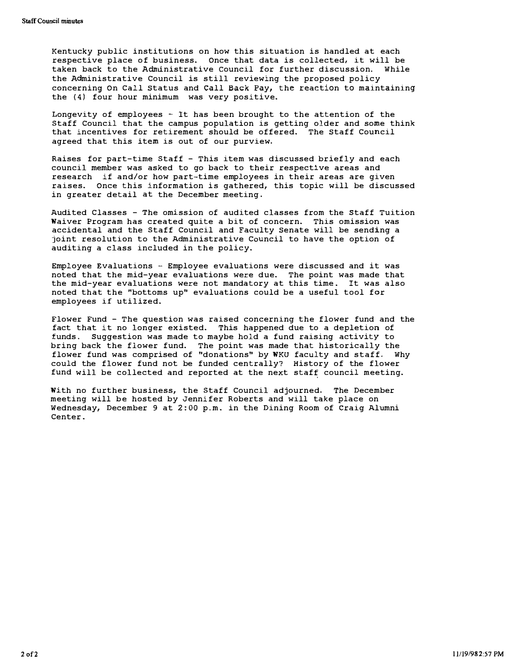Kentucky public institutions on how this situation is handled at each respective place of business. Once that data is collected, it will be taken back to the Administrative Council for further discussion. While the Administrative Council is still reviewing the proposed policy concerning On Call Status and Call Back Pay, the reaction to maintaining the (4) four hour minimum was very positive.

Longevity of employees - It has been brought to the attention of the Staff Council that the campus population is getting older and some think that incentives for retirement should be offered. The Staff Council agreed that this item is out of our purview.

Raises for part-time Staff - This item was discussed briefly and each council member was asked to go back to their respective areas and research if and/or how part-time employees in their areas are given raises. Once this information is gathered, this topic will be discussed in greater detail at the December meeting.

Audited Classes - The omission of audited classes from the staff Tuition Waiver Program has created quite a bit of concern. This omission was accidental and the Staff Council and Faculty Senate will be sending a joint resolution to the Administrative Council to have the option of auditing a class included in the policy.

Employee Evaluations  $-$  Employee evaluations were discussed and it was noted that the mid-year evaluations were due. The point was made that the mid-year evaluations were not mandatory at this time. It was also noted that the "bottoms up" evaluations could be a useful tool for employees if utilized.

Flower Fund - The question was raised concerning the flower fund and the fact that it no longer existed. This happened due to a depletion of funds . suggestion was made to maybe hold a fund raising activity to bring back the flower fund. The point was made that historically the flower fund was comprised of "donations" by WKU faculty and staff. Why could the flower fund not be funded centrally? History of the flower fund will be collected and reported at the next staff council meeting.

With no further business, the Staff Council adjourned. The December meeting will be hosted by Jennifer Roberts and will take place on Wednesday, December 9 at 2:00 p.m. in the Dining Room of craig Alumni Center.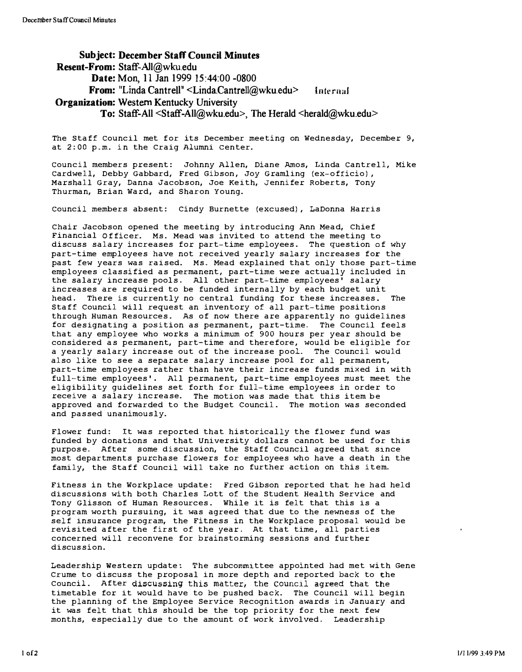SUbject: December Staff Council Minutes Resent-From: Staff-A1l@wku.edu Date: Mon, 11 Jan 1999 15:44:00 -0800 From: "Linda Cantrell" <Linda.Cantrell@wku.edu> Internal **Organization: Western Kentucky University** To: Staff-All <Staff-All@wku.edu>, The Herald <herald@wku.edu>

The staff council met for its December meeting on Wednesday, December 9, at 2:00 p.m. in the Craig Alumni Center.

council members present: Johnny Allen, Diane Amos, Linda cantrell, Mike cardwell, Debby Gabbard, Fred Gibson, Joy Gramling (ex-officio), Marshall Gray, Danna Jacobson, Joe Keith, Jennifer Roberts, Tony Thurman, Brian Ward, and Sharon Young.

council members absent: Cindy Burnette (excused), LaDonna Harris

Chair Jacobson opened the meeting by introducing Ann Mead, Chief Financial Officer. Ms. Mead was invited to attend the meeting to discuss salary increases for part-time employees. The question of why part-time employees have not received yearly salary increases for the past few years was raised. Ms. Mead explained that only those part-time employees classified as permanent, part-time were actually included in the salary increase pools. All other part-time employees' salary increases are required to be funded internally by each budget unit head. There is currently no central funding for these increases. The Staff Council will request an inventory of all part-time positions through Human Resources. As of now there are apparently no guidelines for designating a position as permanent, part-time. The Council feels that any employee who works a minimum of 900 hours per year should be considered as permanent, part-time and therefore, would be eligible for a yearly salary increase out of the increase pool. The Council would also like to see a separate salary increase pool for all permanent, part-time employees rather than have their increase funds mixed in with full-time employees'. All permanent, part-time employees must meet the eligibility guidelines set forth for full-time employees in order to receive a salary increase. The motion was made that this item be approved and forwarded to the Budget Council. The motion was seconded and passed unanimously.

Flower fund: It was reported that historically the flower fund was funded by donations and that university dollars cannot be used for this purpose. After some discussion, the Staff Council agreed that since most departments purchase flowers for employees who have a death in the family, the Staff Council will take no further action on this item.

Fitness in the Workplace update: Fred Gibson reported that he had held discussions with both Charles Lott of the Student Health Service and Tony Glisson of Human Resources. While it is felt that this is a program worth pursuing, it was agreed that due to the newness of the self insurance program, the Fitness in the Workplace proposal would be revisited after the first of the year. At that time, all parties concerned will reconvene for brainstorming sessions and further discussion\_

Leadership western update : The subcommittee appointed had met with Gene Crume to discuss the proposal in more depth and reported back to the Council. After discussing this matter, the Council agreed that the timetable for it would have to be pushed back\_ The Council will begin the planning of the Employee Service Recognition awards in January and it was felt that this should be the top priority for the next few months, especially due to the amount of work involved. Leadership